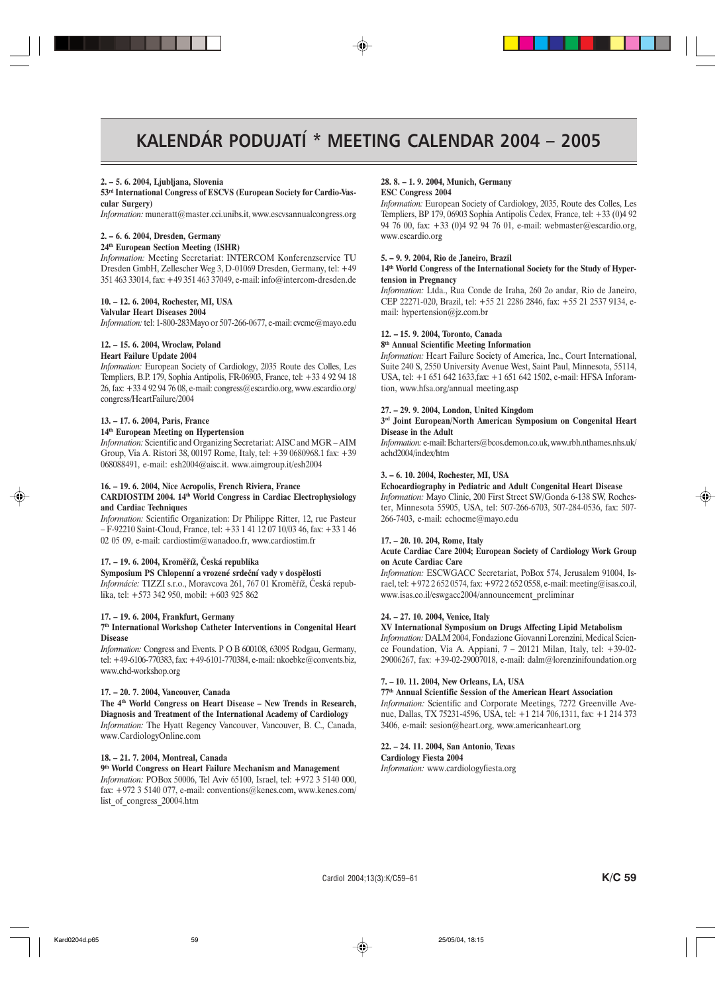# KALENDÁR PODUJATÍ \* MEETING CALENDAR 2004 - 2005

#### 2. - 5. 6. 2004, Ljubljana, Slovenia

#### 53<sup>rd</sup> International Congress of ESCVS (European Society for Cardio-Vascular Surgery)

Information: muneratt@master.cci.unibs.it, www.escvsannualcongress.org

# 2. - 6. 6. 2004, Dresden, Germany

# 24<sup>th</sup> European Section Meeting (ISHR)

Information: Meeting Secretariat: INTERCOM Konferenzservice TU Dresden GmbH, Zellescher Weg 3, D-01069 Dresden, Germany, tel: +49 351 463 33014, fax: +49 351 463 37049, e-mail: info@intercom-dresden.de

#### 10. - 12. 6. 2004. Rochester, MI, USA

**Valvular Heart Diseases 2004** 

Information: tel: 1-800-283Mayo or 507-266-0677, e-mail: cvcme@mayo.edu

#### 12. - 15. 6. 2004, Wroclaw, Poland

# **Heart Failure Update 2004**

Information: European Society of Cardiology, 2035 Route des Colles, Les Templiers, B.P. 179, Sophia Antipolis, FR-06903, France, tel: +33 4 92 94 18 26, fax: +33 4 92 94 76 08, e-mail: congress@escardio.org, www.escardio.org/ congress/HeartFailure/2004

#### 13. - 17. 6. 2004, Paris, France

#### 14<sup>th</sup> European Meeting on Hypertension

Information: Scientific and Organizing Secretariat: AISC and MGR-AIM Group, Via A. Ristori 38, 00197 Rome, Italy, tel: +39 0680968.1 fax: +39 068088491, e-mail: esh2004@aisc.it. www.aimgroup.it/esh2004

#### 16. – 19. 6. 2004, Nice Acropolis, French Riviera, France

#### CARDIOSTIM 2004. 14<sup>th</sup> World Congress in Cardiac Electrophysiology and Cardiac Techniques

Information: Scientific Organization: Dr Philippe Ritter, 12, rue Pasteur - F-92210 Saint-Cloud, France, tel: +33 1 41 12 07 10/03 46, fax: +33 1 46 02 05 09, e-mail: cardiostim@wanadoo.fr, www.cardiostim.fr

#### 17. – 19. 6. 2004, Kroměříž, Česká republika

#### Symposium PS Chlopenní a vrozené srdeční vady v dospělosti

Informácie: TIZZI s.r.o., Moravcova 261, 767 01 Kroměříž, Česká republika, tel: +573 342 950, mobil: +603 925 862

#### 17. - 19. 6. 2004, Frankfurt, Germany

#### 7th International Workshop Catheter Interventions in Congenital Heart **Disease**

Information: Congress and Events. P O B 600108, 63095 Rodgau, Germany, tel: +49-6106-770383, fax: +49-6101-770384, e-mail: nkoebke@convents.biz, www.chd-workshop.org

#### 17. - 20. 7. 2004, Vancouver, Canada

The 4<sup>th</sup> World Congress on Heart Disease - New Trends in Research, Diagnosis and Treatment of the International Academy of Cardiology Information: The Hyatt Regency Vancouver, Vancouver, B. C., Canada, www.CardiologyOnline.com

#### 18. - 21. 7. 2004, Montreal, Canada

#### 9<sup>th</sup> World Congress on Heart Failure Mechanism and Management Information: POBox 50006, Tel Aviv 65100, Israel, tel: +972 3 5140 000, fax: +972 3 5140 077, e-mail: conventions@kenes.com, www.kenes.com/ list of congress 20004.htm

#### 28. 8. - 1. 9. 2004, Munich, Germany **ESC Congress 2004**

Information: European Society of Cardiology, 2035, Route des Colles, Les Templiers, BP 179, 06903 Sophia Antipolis Cedex, France, tel: +33 (0)4 92 94 76 00, fax: +33 (0)4 92 94 76 01, e-mail: webmaster@escardio.org, www.escardio.org

#### 5. - 9. 9. 2004, Rio de Janeiro, Brazil

#### 14th World Congress of the International Society for the Study of Hypertension in Pregnancy

Information: Ltda., Rua Conde de Iraha, 260 2o andar, Rio de Janeiro, CEP 22271-020, Brazil, tel: +55 21 2286 2846, fax: +55 21 2537 9134, email: hypertension@jz.com.br

#### 12. - 15. 9. 2004, Toronto, Canada

#### 8<sup>th</sup> Annual Scientific Meeting Information

Information: Heart Failure Society of America, Inc., Court International, Suite 240 S, 2550 University Avenue West, Saint Paul, Minnesota, 55114, USA, tel: +1 651 642 1633, fax: +1 651 642 1502, e-mail: HFSA Inforamtion, www.hfsa.org/annual meeting.asp

#### 27. - 29. 9. 2004, London, United Kingdom

#### 3rd Joint European/North American Symposium on Congenital Heart **Disease in the Adult**

Information: e-mail: Bcharters@bcos.demon.co.uk, www.rbh.nthames.nhs.uk/ achd2004/index/htm

#### 3. - 6. 10. 2004, Rochester, MI, USA

#### Echocardiography in Pediatric and Adult Congenital Heart Disease

Information: Mayo Clinic, 200 First Street SW/Gonda 6-138 SW, Rochester, Minnesota 55905, USA, tel: 507-266-6703, 507-284-0536, fax: 507-266-7403, e-mail: echocme@mayo.edu

#### 17. - 20. 10. 204, Rome, Italy

#### Acute Cardiac Care 2004; European Society of Cardiology Work Group on Acute Cardiac Care

Information: ESCWGACC Secretariat, PoBox 574, Jerusalem 91004, Israel, tel: +972 2 652 0574, fax: +972 2 652 0558, e-mail: meeting@isas.co.il, www.isas.co.il/eswgacc2004/announcement\_preliminar

#### 24. - 27. 10. 2004, Venice, Italy

#### XV International Symposium on Drugs Affecting Lipid Metabolism

Information: DALM 2004, Fondazione Giovanni Lorenzini, Medical Science Foundation, Via A. Appiani, 7 - 20121 Milan, Italy, tel: +39-02-29006267, fax: +39-02-29007018, e-mail: dalm@lorenzinifoundation.org

#### 7. - 10. 11. 2004, New Orleans, LA, USA

#### 77<sup>th</sup> Annual Scientific Session of the American Heart Association

Information: Scientific and Corporate Meetings, 7272 Greenville Avenue, Dallas, TX 75231-4596, USA, tel: +1 214 706,1311, fax: +1 214 373 3406, e-mail: sesion@heart.org, www.americanheart.org

# 22. - 24. 11. 2004, San Antonio, Texas

**Cardiology Fiesta 2004** 

Information: www.cardiologyfiesta.org